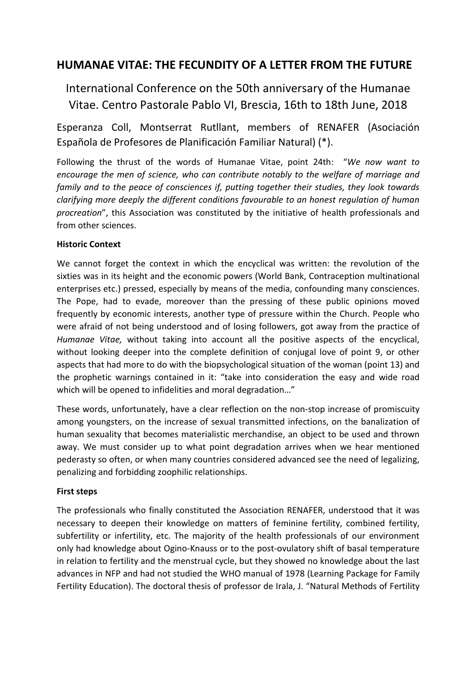# **HUMANAE VITAE: THE FECUNDITY OF A LETTER FROM THE FUTURE**

International Conference on the 50th anniversary of the Humanae Vitae. Centro Pastorale Pablo VI, Brescia, 16th to 18th June, 2018

Esperanza Coll, Montserrat Rutllant, members of RENAFER (Asociación Española de Profesores de Planificación Familiar Natural) (\*).

Following the thrust of the words of Humanae Vitae, point 24th: "*We now want to encourage the men of science, who can contribute notably to the welfare of marriage and family and to the peace of consciences if, putting together their studies, they look towards clarifying more deeply the different conditions favourable to an honest regulation of human procreation*", this Association was constituted by the initiative of health professionals and from other sciences.

## **Historic Context**

We cannot forget the context in which the encyclical was written: the revolution of the sixties was in its height and the economic powers (World Bank, Contraception multinational enterprises etc.) pressed, especially by means of the media, confounding many consciences. The Pope, had to evade, moreover than the pressing of these public opinions moved frequently by economic interests, another type of pressure within the Church. People who were afraid of not being understood and of losing followers, got away from the practice of *Humanae Vitae,* without taking into account all the positive aspects of the encyclical, without looking deeper into the complete definition of conjugal love of point 9, or other aspects that had more to do with the biopsychological situation of the woman (point 13) and the prophetic warnings contained in it: "take into consideration the easy and wide road which will be opened to infidelities and moral degradation…"

These words, unfortunately, have a clear reflection on the non-stop increase of promiscuity among youngsters, on the increase of sexual transmitted infections, on the banalization of human sexuality that becomes materialistic merchandise, an object to be used and thrown away. We must consider up to what point degradation arrives when we hear mentioned pederasty so often, or when many countries considered advanced see the need of legalizing, penalizing and forbidding zoophilic relationships.

## **First steps**

The professionals who finally constituted the Association RENAFER, understood that it was necessary to deepen their knowledge on matters of feminine fertility, combined fertility, subfertility or infertility, etc. The majority of the health professionals of our environment only had knowledge about Ogino-Knauss or to the post-ovulatory shift of basal temperature in relation to fertility and the menstrual cycle, but they showed no knowledge about the last advances in NFP and had not studied the WHO manual of 1978 (Learning Package for Family Fertility Education). The doctoral thesis of professor de Irala, J. "Natural Methods of Fertility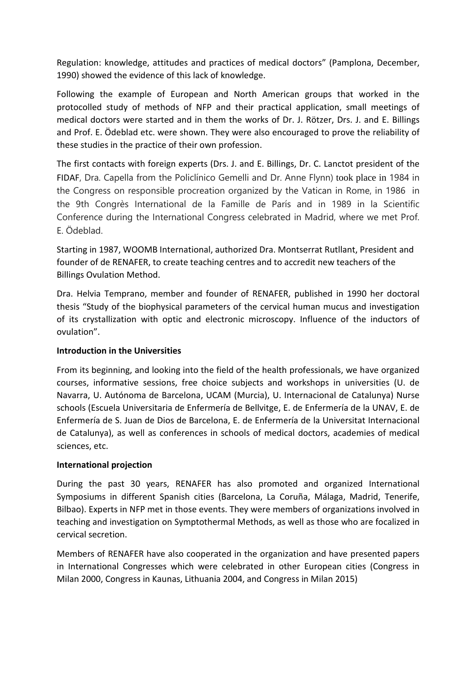Regulation: knowledge, attitudes and practices of medical doctors" (Pamplona, December, 1990) showed the evidence of this lack of knowledge.

Following the example of European and North American groups that worked in the protocolled study of methods of NFP and their practical application, small meetings of medical doctors were started and in them the works of Dr. J. Rötzer, Drs. J. and E. Billings and Prof. E. Ödeblad etc. were shown. They were also encouraged to prove the reliability of these studies in the practice of their own profession.

The first contacts with foreign experts (Drs. J. and E. Billings, Dr. C. Lanctot president of the FIDAF, Dra. Capella from the Policlínico Gemelli and Dr. Anne Flynn) took place in 1984 in the Congress on responsible procreation organized by the Vatican in Rome, in 1986 in the 9th Congrès International de la Famille de París and in 1989 in la Scientific Conference during the International Congress celebrated in Madrid, where we met Prof. E. Ödeblad.

Starting in 1987, WOOMB International, authorized Dra. Montserrat Rutllant, President and founder of de RENAFER, to create teaching centres and to accredit new teachers of the Billings Ovulation Method.

Dra. Helvia Temprano, member and founder of RENAFER, published in 1990 her doctoral thesis "Study of the biophysical parameters of the cervical human mucus and investigation of its crystallization with optic and electronic microscopy. Influence of the inductors of ovulation".

#### **Introduction in the Universities**

From its beginning, and looking into the field of the health professionals, we have organized courses, informative sessions, free choice subjects and workshops in universities (U. de Navarra, U. Autónoma de Barcelona, UCAM (Murcia), U. Internacional de Catalunya) Nurse schools (Escuela Universitaria de Enfermería de Bellvitge, E. de Enfermería de la UNAV, E. de Enfermería de S. Juan de Dios de Barcelona, E. de Enfermería de la Universitat Internacional de Catalunya), as well as conferences in schools of medical doctors, academies of medical sciences, etc.

#### **International projection**

During the past 30 years, RENAFER has also promoted and organized International Symposiums in different Spanish cities (Barcelona, La Coruña, Málaga, Madrid, Tenerife, Bilbao). Experts in NFP met in those events. They were members of organizations involved in teaching and investigation on Symptothermal Methods, as well as those who are focalized in cervical secretion.

Members of RENAFER have also cooperated in the organization and have presented papers in International Congresses which were celebrated in other European cities (Congress in Milan 2000, Congress in Kaunas, Lithuania 2004, and Congress in Milan 2015)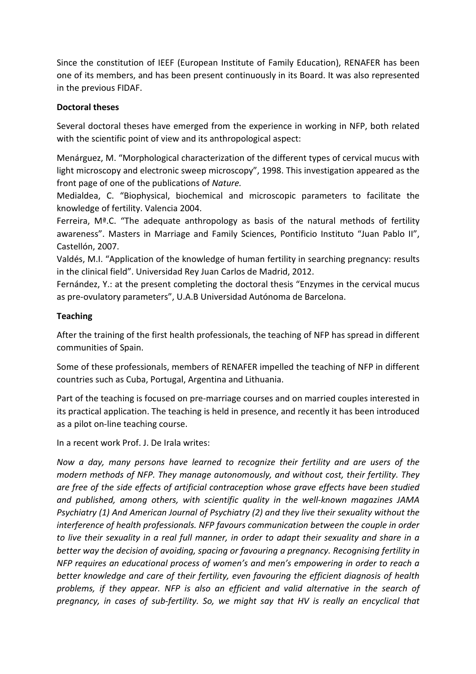Since the constitution of IEEF (European Institute of Family Education), RENAFER has been one of its members, and has been present continuously in its Board. It was also represented in the previous FIDAF.

### **Doctoral theses**

Several doctoral theses have emerged from the experience in working in NFP, both related with the scientific point of view and its anthropological aspect:

Menárguez, M. "Morphological characterization of the different types of cervical mucus with light microscopy and electronic sweep microscopy", 1998. This investigation appeared as the front page of one of the publications of *Nature.*

Medialdea, C. "Biophysical, biochemical and microscopic parameters to facilitate the knowledge of fertility. Valencia 2004.

Ferreira,  $M^a$ .C. "The adequate anthropology as basis of the natural methods of fertility awareness". Masters in Marriage and Family Sciences, Pontificio Instituto "Juan Pablo II", Castellón, 2007.

Valdés, M.I. "Application of the knowledge of human fertility in searching pregnancy: results in the clinical field". Universidad Rey Juan Carlos de Madrid, 2012.

Fernández, Y.: at the present completing the doctoral thesis "Enzymes in the cervical mucus as pre-ovulatory parameters", U.A.B Universidad Autónoma de Barcelona.

## **Teaching**

After the training of the first health professionals, the teaching of NFP has spread in different communities of Spain.

Some of these professionals, members of RENAFER impelled the teaching of NFP in different countries such as Cuba, Portugal, Argentina and Lithuania.

Part of the teaching is focused on pre-marriage courses and on married couples interested in its practical application. The teaching is held in presence, and recently it has been introduced as a pilot on-line teaching course.

In a recent work Prof. J. De Irala writes:

*Now a day, many persons have learned to recognize their fertility and are users of the modern methods of NFP. They manage autonomously, and without cost, their fertility. They are free of the side effects of artificial contraception whose grave effects have been studied and published, among others, with scientific quality in the well-known magazines JAMA Psychiatry (1) And American Journal of Psychiatry (2) and they live their sexuality without the interference of health professionals. NFP favours communication between the couple in order to live their sexuality in a real full manner, in order to adapt their sexuality and share in a better way the decision of avoiding, spacing or favouring a pregnancy. Recognising fertility in NFP requires an educational process of women's and men's empowering in order to reach a better knowledge and care of their fertility, even favouring the efficient diagnosis of health problems, if they appear. NFP is also an efficient and valid alternative in the search of pregnancy, in cases of sub-fertility. So, we might say that HV is really an encyclical that*